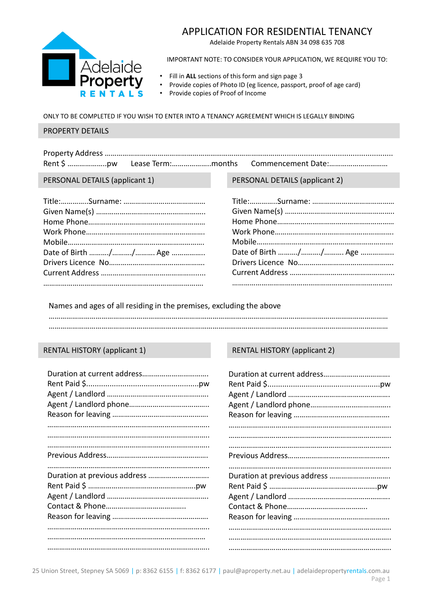# APPLICATION FOR RESIDENTIAL TENANCY

Adelaide Property Rentals ABN 34 098 635 708



IMPORTANT NOTE: TO CONSIDER YOUR APPLICATION, WE REQUIRE YOU TO:

- Fill in **ALL** sections of this form and sign page 3
- Provide copies of Photo ID (eg licence, passport, proof of age card)
- Provide copies of Proof of Income

### ONLY TO BE COMPLETED IF YOU WISH TO ENTER INTO A TENANCY AGREEMENT WHICH IS LEGALLY BINDING

#### PROPERTY DETAILS

|  | Rent \$ pw Lease Term:months Commencement Date: |
|--|-------------------------------------------------|

| Date of Birth // Age |
|----------------------|
|                      |
|                      |
|                      |
|                      |

#### PERSONAL DETAILS (applicant 1) PERSONAL DETAILS (applicant 2)

| Date of Birth // Age |
|----------------------|
|                      |
|                      |
|                      |

Names and ages of all residing in the premises, excluding the above

### RENTAL HISTORY (applicant 1)

## RENTAL HISTORY (applicant 2)

| Duration at previous address |
|------------------------------|
|                              |
|                              |
|                              |
|                              |
|                              |
|                              |
|                              |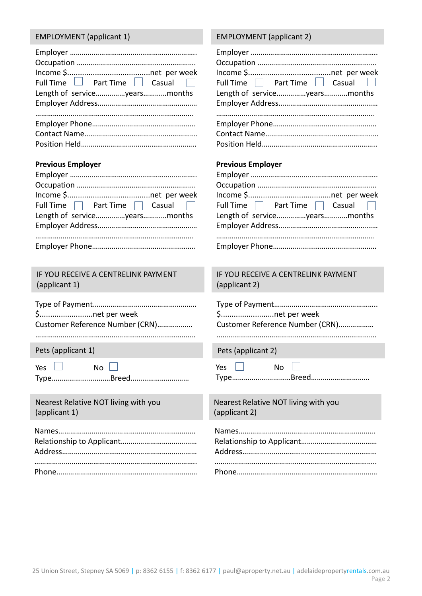### EMPLOYMENT (applicant 1) EMPLOYMENT (applicant 2)

| Full Time $\Box$ Part Time $\Box$ Casual $\Box$ |
|-------------------------------------------------|
| Length of serviceyearsmonths                    |
|                                                 |
|                                                 |
|                                                 |
|                                                 |
|                                                 |
|                                                 |

#### **Previous Employer**

| Full Time $\Box$ Part Time $\Box$ Casual $\Box$ |
|-------------------------------------------------|
| Length of serviceyearsmonths                    |
|                                                 |
|                                                 |
|                                                 |
|                                                 |

IF YOU RECEIVE A CENTRELINK PAYMENT (applicant 1)

| \$net per week                  |
|---------------------------------|
| Customer Reference Number (CRN) |
|                                 |

Pets (applicant 1) Pets (applicant 2)

| Voc |  |  |
|-----|--|--|

Type…………………………Breed…………………………

Nearest Relative NOT living with you (applicant 1)

 $No$ 

| Full Time Part Time Gasual   |  |
|------------------------------|--|
| Length of serviceyearsmonths |  |
|                              |  |
|                              |  |
|                              |  |
|                              |  |
|                              |  |

#### **Previous Employer**

| Full Time $\Box$ Part Time $\Box$ Casual $\Box$ |  |  |
|-------------------------------------------------|--|--|
| Length of serviceyearsmonths                    |  |  |
|                                                 |  |  |
|                                                 |  |  |
|                                                 |  |  |

IF YOU RECEIVE A CENTRELINK PAYMENT (applicant 2)

Type of Payment…………………………………………….. \$.........................net per week Customer Reference Number (CRN)………………

……………………………………………………………………….

| Yes. | No |  |
|------|----|--|
|      |    |  |

Type…………………………Breed…………………………

Nearest Relative NOT living with you (applicant 2)